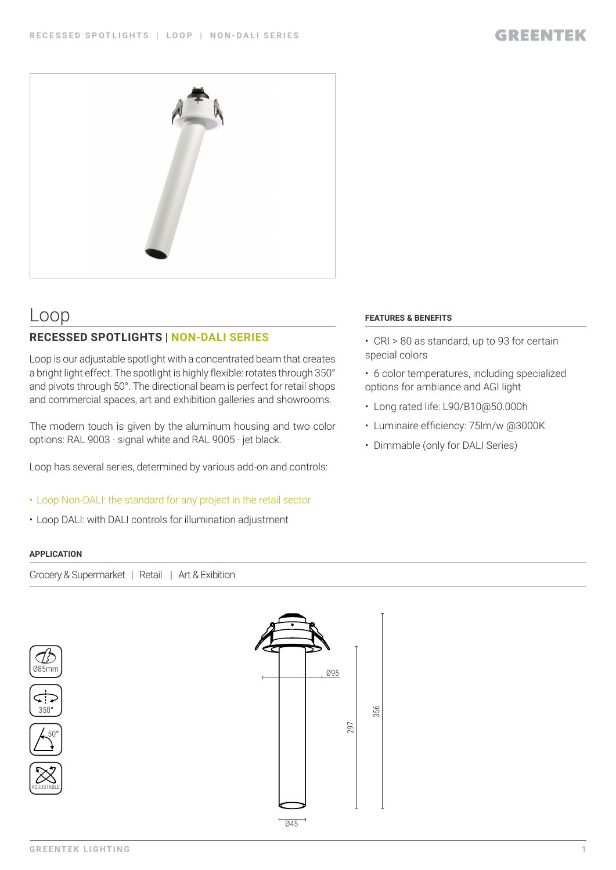

# Loop

## **RECESSED SPOTLIGHTS | NON-DALI SERIES**

Loop is our adjustable spotlight with a concentrated beam that creates a bright light effect. The spotlight is highly flexible: rotates through 350° and pivots through 50°. The directional beam is perfect for retail shops and commercial spaces, art and exhibition galleries and showrooms.

The modern touch is given by the aluminum housing and two color options: RAL 9003 - signal white and RAL 9005 - jet black.

Loop has several series, determined by various add-on and controls:

- Loop Non-DALI: the standard for any project in the retail sector
- Loop DALI: with DALI controls for illumination adjustment

### **APPLICATION**

Grocery & Supermarket | Retail | Art & Exibition







ADJUSTABLE



#### **FEATURES & BENEFITS**

- CRI > 80 as standard, up to 93 for certain special colors
- 6 color temperatures, including specialized options for ambiance and AGI light
- Long rated life: L90/B10@50.000h
- Luminaire efficiency: 75lm/w @3000K
- Dimmable (only for DALI Series)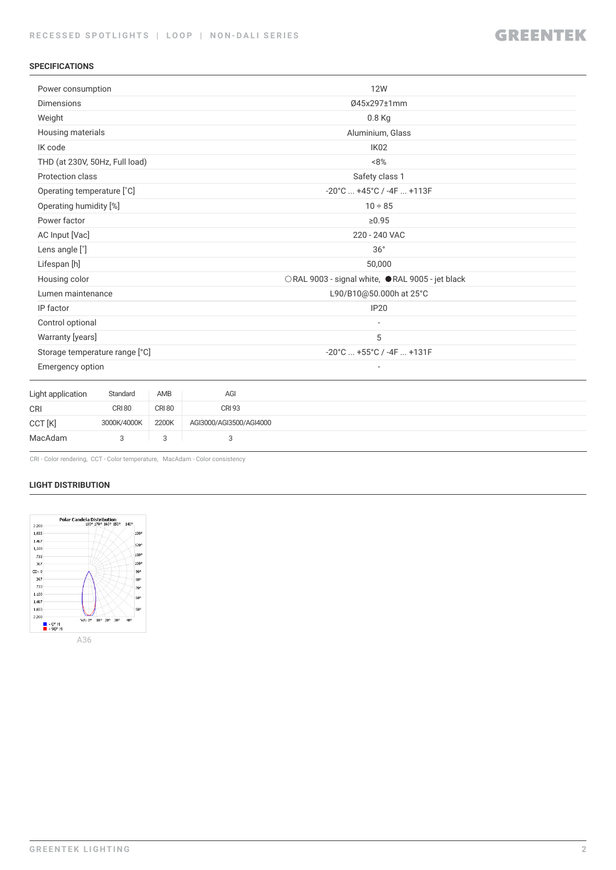### **SPECIFICATIONS**

| Power consumption              |                                |               |                         | <b>12W</b>                                        |  |  |  |
|--------------------------------|--------------------------------|---------------|-------------------------|---------------------------------------------------|--|--|--|
| <b>Dimensions</b>              |                                |               |                         | 045x297±1mm                                       |  |  |  |
| Weight                         |                                |               |                         | 0.8 Kg                                            |  |  |  |
|                                | Housing materials              |               |                         | Aluminium, Glass                                  |  |  |  |
| IK code                        |                                |               |                         | IK <sub>02</sub>                                  |  |  |  |
|                                | THD (at 230V, 50Hz, Full load) |               |                         | $~8\%$                                            |  |  |  |
| Protection class               |                                |               |                         | Safety class 1                                    |  |  |  |
| Operating temperature [°C]     |                                |               |                         | $-20^{\circ}$ C $+45^{\circ}$ C / $-4$ F $+113$ F |  |  |  |
|                                | Operating humidity [%]         |               |                         | $10 \div 85$                                      |  |  |  |
| Power factor                   |                                |               |                         | ≥0.95                                             |  |  |  |
| AC Input [Vac]                 |                                |               |                         | 220 - 240 VAC                                     |  |  |  |
| Lens angle [°]                 |                                |               |                         | 36°                                               |  |  |  |
| Lifespan [h]                   |                                |               |                         | 50,000                                            |  |  |  |
| Housing color                  |                                |               |                         | ○RAL 9003 - signal white, ●RAL 9005 - jet black   |  |  |  |
|                                | Lumen maintenance              |               |                         | L90/B10@50.000h at 25°C                           |  |  |  |
| IP factor                      |                                |               |                         | <b>IP20</b>                                       |  |  |  |
| Control optional               |                                |               |                         | $\overline{\phantom{a}}$                          |  |  |  |
|                                | Warranty [years]               |               |                         | 5                                                 |  |  |  |
| Storage temperature range [°C] |                                |               |                         | -20°C  +55°C / -4F  +131F                         |  |  |  |
| Emergency option               |                                |               |                         |                                                   |  |  |  |
| Light application              | Standard                       | AMB           | AGI                     |                                                   |  |  |  |
| <b>CRI</b>                     | <b>CRI 80</b>                  | <b>CRI 80</b> | <b>CRI 93</b>           |                                                   |  |  |  |
| CCT [K]                        | 3000K/4000K                    | 2200K         | AGI3000/AGI3500/AGI4000 |                                                   |  |  |  |
| MacAdam                        | 3                              | 3             | 3                       |                                                   |  |  |  |
|                                |                                |               |                         |                                                   |  |  |  |

CRI - Color rendering, CCT - Color temperature, MacAdam - Color consistency

#### **LIGHT DISTRIBUTION**

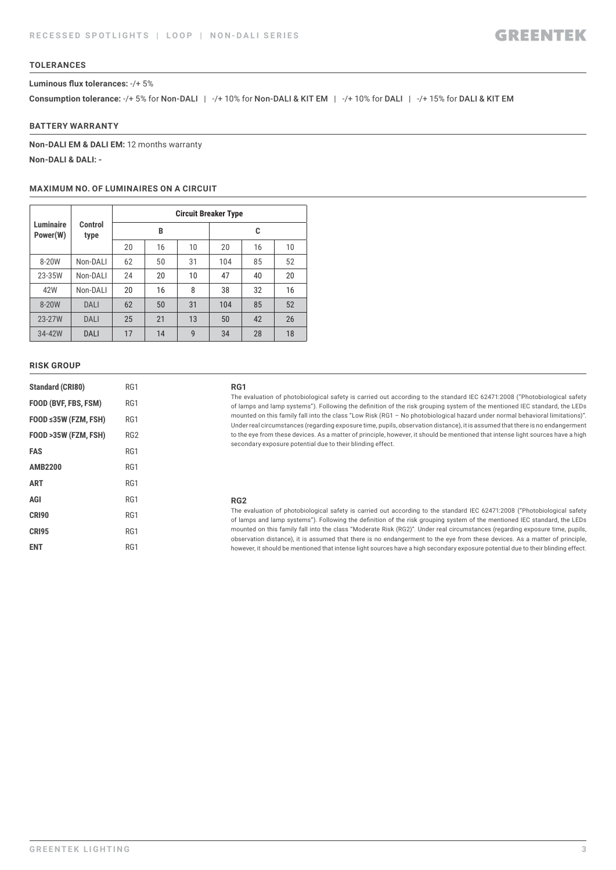#### **TOLERANCES**

#### **Luminous flux tolerances:** -/+ 5%

**Consumption tolerance: -/+ 5% for Non-DALI | -/+ 10% for Non-DALI & KIT EM | -/+ 10% for DALI | -/+ 15% for DALI & KIT EM** 

#### **BATTERY WARRANTY**

**Non-DALI EM & DALI EM:** 12 months warranty **Non-DALI & DALI: -**

#### **MAXIMUM NO. OF LUMINAIRES ON A CIRCUIT**

|                              | Control<br>type | <b>Circuit Breaker Type</b> |    |    |     |    |    |  |
|------------------------------|-----------------|-----------------------------|----|----|-----|----|----|--|
| <b>Luminaire</b><br>Power(W) |                 |                             | B  |    | C   |    |    |  |
|                              |                 | 20                          | 16 | 10 | 20  | 16 | 10 |  |
| 8-20W                        | Non-DALI        | 62                          | 50 | 31 | 104 | 85 | 52 |  |
| 23-35W                       | Non-DALI        | 24                          | 20 | 10 | 47  | 40 | 20 |  |
| 42W                          | Non-DALI        | 20                          | 16 | 8  | 38  | 32 | 16 |  |
| 8-20W                        | DALI            | 62                          | 50 | 31 | 104 | 85 | 52 |  |
| 23-27W                       | DALI            | 25                          | 21 | 13 | 50  | 42 | 26 |  |
| 34-42W                       | DALI            | 17                          | 14 | 9  | 34  | 28 | 18 |  |

#### **RISK GROUP**

| <b>Standard (CRI80)</b> | RG1             |
|-------------------------|-----------------|
| FOOD (BVF, FBS, FSM)    | RG1             |
| FOOD ≤35W (FZM, FSH)    | RG1             |
| FOOD >35W (FZM, FSH)    | RG <sub>2</sub> |
| FAS                     | RG1             |
| <b>AMB2200</b>          | RG1             |
| <b>ART</b>              | RG1             |
| AGI                     | RG1             |
| CRI90                   | RG1             |
| <b>CRI95</b>            | RG1             |
| ENT                     | RG1             |

#### **RG1**

The evaluation of photobiological safety is carried out according to the standard IEC 62471:2008 ("Photobiological safety of lamps and lamp systems"). Following the definition of the risk grouping system of the mentioned IEC standard, the LEDs mounted on this family fall into the class "Low Risk (RG1 – No photobiological hazard under normal behavioral limitations)". Under real circumstances (regarding exposure time, pupils, observation distance), it is assumed that there is no endangerment to the eye from these devices. As a matter of principle, however, it should be mentioned that intense light sources have a high secondary exposure potential due to their blinding effect.

#### **RG2**

The evaluation of photobiological safety is carried out according to the standard IEC 62471:2008 ("Photobiological safety of lamps and lamp systems"). Following the definition of the risk grouping system of the mentioned IEC standard, the LEDs mounted on this family fall into the class "Moderate Risk (RG2)". Under real circumstances (regarding exposure time, pupils, observation distance), it is assumed that there is no endangerment to the eye from these devices. As a matter of principle, however, it should be mentioned that intense light sources have a high secondary exposure potential due to their blinding effect.